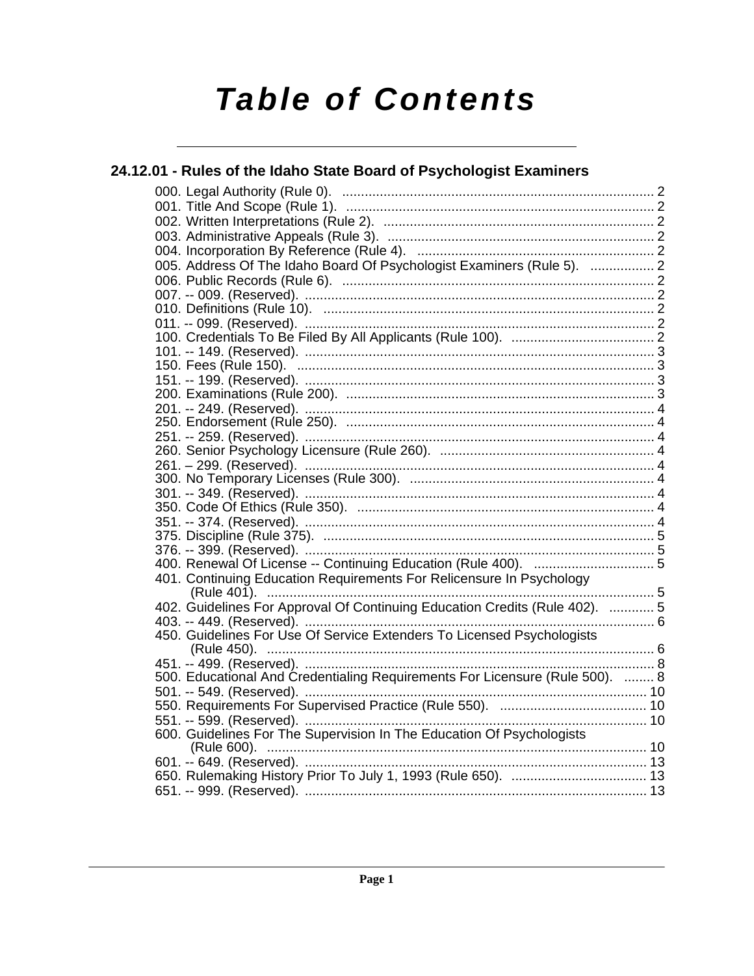# **Table of Contents**

## 24.12.01 - Rules of the Idaho State Board of Psychologist Examiners 005. Address Of The Idaho Board Of Psychologist Examiners (Rule 5). .................. 2 401. Continuing Education Requirements For Relicensure In Psychology 402. Guidelines For Approval Of Continuing Education Credits (Rule 402). ............ 5 450. Guidelines For Use Of Service Extenders To Licensed Psychologists 500. Educational And Credentialing Requirements For Licensure (Rule 500). ........ 8 600. Guidelines For The Supervision In The Education Of Psychologists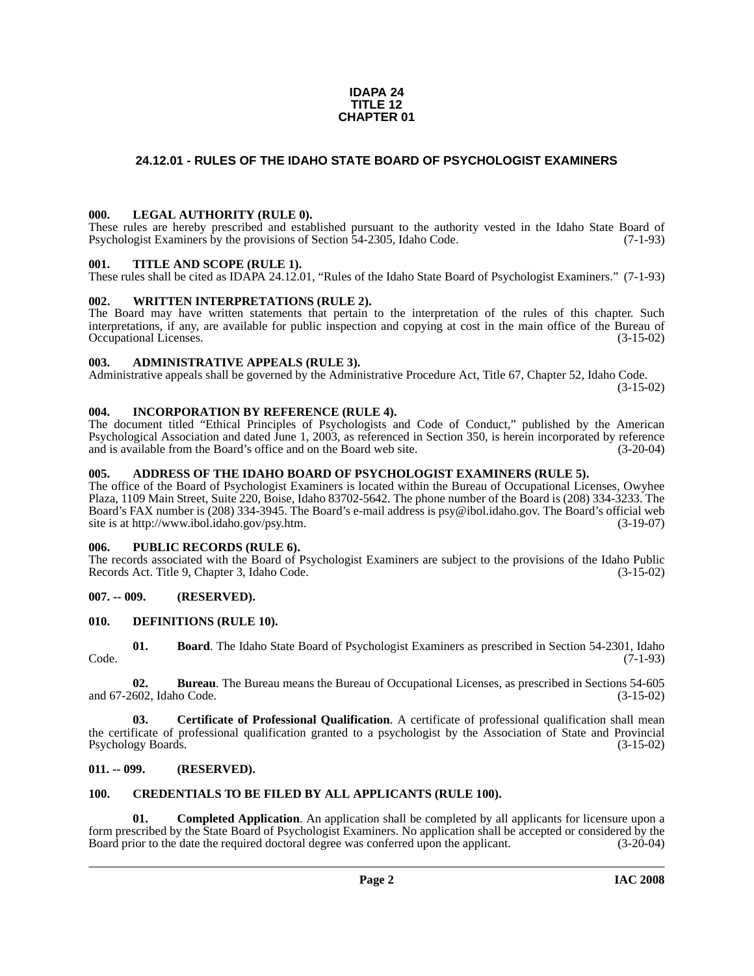#### **IDAPA 24 TITLE 12 CHAPTER 01**

# <span id="page-1-0"></span>**24.12.01 - RULES OF THE IDAHO STATE BOARD OF PSYCHOLOGIST EXAMINERS**

#### <span id="page-1-1"></span>**000. LEGAL AUTHORITY (RULE 0).**

These rules are hereby prescribed and established pursuant to the authority vested in the Idaho State Board of Psychologist Examiners by the provisions of Section 54-2305, Idaho Code. (7-1-93)

#### <span id="page-1-2"></span>**001. TITLE AND SCOPE (RULE 1).**

These rules shall be cited as IDAPA 24.12.01, "Rules of the Idaho State Board of Psychologist Examiners." (7-1-93)

#### <span id="page-1-3"></span>**002. WRITTEN INTERPRETATIONS (RULE 2).**

The Board may have written statements that pertain to the interpretation of the rules of this chapter. Such interpretations, if any, are available for public inspection and copying at cost in the main office of the Bureau of Occupational Licenses. (3-15-02) Occupational Licenses.

#### <span id="page-1-4"></span>**003. ADMINISTRATIVE APPEALS (RULE 3).**

Administrative appeals shall be governed by the Administrative Procedure Act, Title 67, Chapter 52, Idaho Code.

(3-15-02)

#### <span id="page-1-5"></span>**004. INCORPORATION BY REFERENCE (RULE 4).**

The document titled "Ethical Principles of Psychologists and Code of Conduct," published by the American Psychological Association and dated June 1, 2003, as referenced in Section 350, is herein incorporated by reference and is available from the Board's office and on the Board web site. (3-20-04)

#### <span id="page-1-6"></span>**005. ADDRESS OF THE IDAHO BOARD OF PSYCHOLOGIST EXAMINERS (RULE 5).**

[The office of the Board of Psychologist Examiners is located within the Bureau of Occupational Licenses, Owyhee](mailto:psy@ibol.idaho.gov)  Plaza, 1109 Main Street, Suite 220, Boise, Idaho 83702-5642. The phone number of the Board is (208) 334-3233. The Board's FAX number is (208) 334-3945. The Board's e-mail address is psy@ibol.idaho.gov. The Board's official web [site is at](mailto:psy@ibol.idaho.gov) [http://www.ibol.idaho.gov/psy.htm. \(3-19-07\)](http://www.ibol.idaho.gov/psy.htm)

## <span id="page-1-7"></span>**006. PUBLIC RECORDS (RULE 6).**

The records associated with the Board of Psychologist Examiners are subject to the provisions of the Idaho Public Records Act. Title 9, Chapter 3, Idaho Code. (3-15-02)

### <span id="page-1-8"></span>**007. -- 009. (RESERVED).**

#### <span id="page-1-15"></span><span id="page-1-9"></span>**010. DEFINITIONS (RULE 10).**

<span id="page-1-12"></span>**01. Board**. The Idaho State Board of Psychologist Examiners as prescribed in Section 54-2301, Idaho Code. (7-1-93)

**02. Bureau**. The Bureau means the Bureau of Occupational Licenses, as prescribed in Sections 54-605 and 67-2602, Idaho Code. (3-15-02)

**03. Certificate of Professional Qualification**. A certificate of professional qualification shall mean the certificate of professional qualification granted to a psychologist by the Association of State and Provincial Psychology Boards. (3-15-02)

### <span id="page-1-10"></span>**011. -- 099. (RESERVED).**

# <span id="page-1-14"></span><span id="page-1-11"></span>**100. CREDENTIALS TO BE FILED BY ALL APPLICANTS (RULE 100).**

<span id="page-1-13"></span>**01. Completed Application**. An application shall be completed by all applicants for licensure upon a form prescribed by the State Board of Psychologist Examiners. No application shall be accepted or considered by the Board prior to the date the required doctoral degree was conferred upon the applicant. (3-20-04)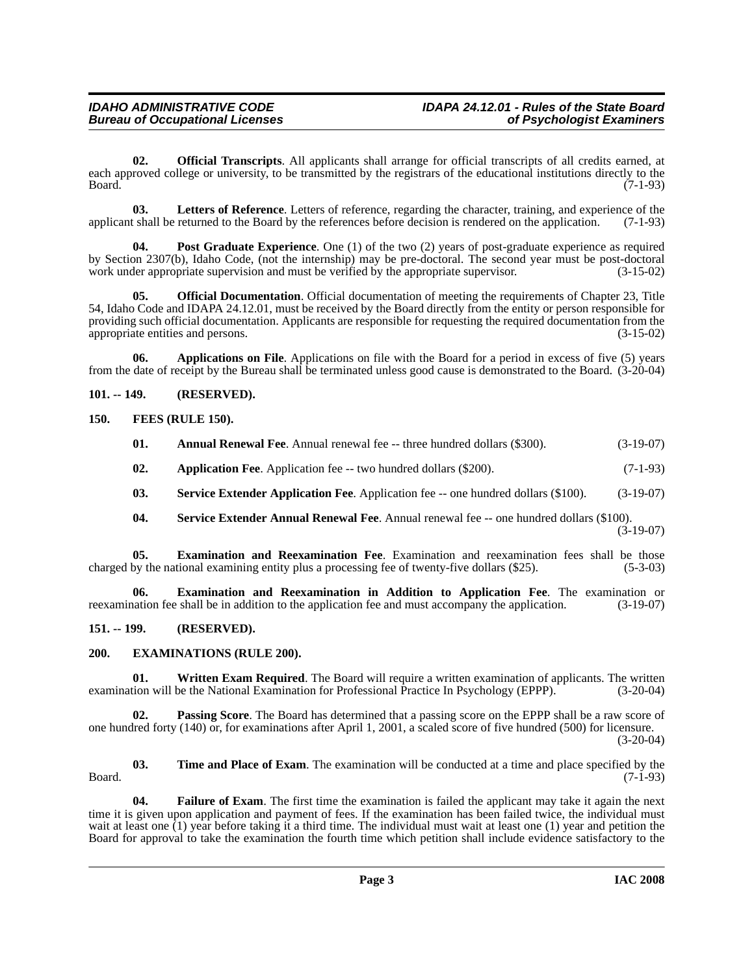<span id="page-2-12"></span>**02. Official Transcripts**. All applicants shall arrange for official transcripts of all credits earned, at each approved college or university, to be transmitted by the registrars of the educational institutions directly to the Board. (7-1-93) Board. (7-1-93)

<span id="page-2-11"></span>**03.** Letters of Reference. Letters of reference, regarding the character, training, and experience of the tshall be returned to the Board by the references before decision is rendered on the application. (7-1-93) applicant shall be returned to the Board by the references before decision is rendered on the application.

<span id="page-2-13"></span>**04.** Post Graduate Experience. One (1) of the two (2) years of post-graduate experience as required by Section 2307(b), Idaho Code, (not the internship) may be pre-doctoral. The second year must be post-doctoral work under appropriate supervision and must be verified by the appropriate supervisor. (3-15-02)

**05. Official Documentation**. Official documentation of meeting the requirements of Chapter 23, Title 54, Idaho Code and IDAPA 24.12.01, must be received by the Board directly from the entity or person responsible for providing such official documentation. Applicants are responsible for requesting the required documentation from the appropriate entities and persons. (3-15-02) appropriate entities and persons.

**06. Applications on File**. Applications on file with the Board for a period in excess of five (5) years from the date of receipt by the Bureau shall be terminated unless good cause is demonstrated to the Board. (3-20-04)

# <span id="page-2-0"></span>**101. -- 149. (RESERVED).**

### <span id="page-2-1"></span>**150. FEES (RULE 150).**

<span id="page-2-10"></span><span id="page-2-5"></span><span id="page-2-4"></span>

| 01. | <b>Annual Renewal Fee.</b> Annual renewal fee -- three hundred dollars (\$300). | $(3-19-07)$ |
|-----|---------------------------------------------------------------------------------|-------------|
| 02. | <b>Application Fee.</b> Application fee -- two hundred dollars (\$200).         | $(7-1-93)$  |

- **03. Service Extender Application Fee**. Application fee -- one hundred dollars (\$100). (3-19-07)
- <span id="page-2-14"></span><span id="page-2-7"></span><span id="page-2-6"></span>**04.** Service Extender Annual Renewal Fee. Annual renewal fee -- one hundred dollars (\$100). (3-19-07)

**05. Examination and Reexamination Fee**. Examination and reexamination fees shall be those by the national examining entity plus a processing fee of twenty-five dollars (\$25). (5-3-03) charged by the national examining entity plus a processing fee of twenty-five dollars (\$25).

**06. Examination and Reexamination in Addition to Application Fee**. The examination or reexamination fee shall be in addition to the application fee and must accompany the application. (3-19-07)

### <span id="page-2-2"></span>**151. -- 199. (RESERVED).**

### <span id="page-2-8"></span><span id="page-2-3"></span>**200. EXAMINATIONS (RULE 200).**

<span id="page-2-16"></span>**01.** Written Exam Required. The Board will require a written examination of applicants. The written examination will be the National Examination for Professional Practice In Psychology (EPPP). (3-20-04)

**02. Passing Score**. The Board has determined that a passing score on the EPPP shall be a raw score of one hundred forty (140) or, for examinations after April 1, 2001, a scaled score of five hundred (500) for licensure. (3-20-04)

<span id="page-2-15"></span>**03. Time and Place of Exam**. The examination will be conducted at a time and place specified by the  $Board.$  (7-1-93)

<span id="page-2-9"></span>**04. Failure of Exam**. The first time the examination is failed the applicant may take it again the next time it is given upon application and payment of fees. If the examination has been failed twice, the individual must wait at least one (1) year before taking it a third time. The individual must wait at least one (1) year and petition the Board for approval to take the examination the fourth time which petition shall include evidence satisfactory to the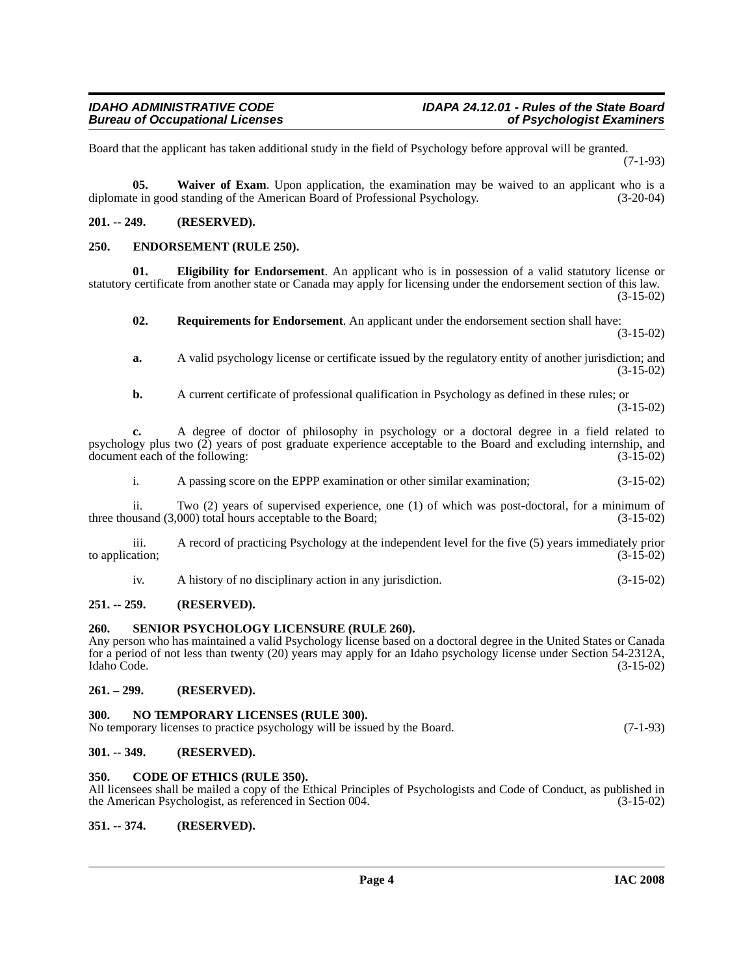Board that the applicant has taken additional study in the field of Psychology before approval will be granted. (7-1-93)

<span id="page-3-15"></span>**05. Waiver of Exam**. Upon application, the examination may be waived to an applicant who is a diplomate in good standing of the American Board of Professional Psychology. (3-20-04)

#### <span id="page-3-0"></span>**201. -- 249. (RESERVED).**

#### <span id="page-3-11"></span><span id="page-3-1"></span>**250. ENDORSEMENT (RULE 250).**

**01. Eligibility for Endorsement**. An applicant who is in possession of a valid statutory license or statutory certificate from another state or Canada may apply for licensing under the endorsement section of this law. (3-15-02)

<span id="page-3-13"></span><span id="page-3-10"></span>**02. Requirements for Endorsement**. An applicant under the endorsement section shall have: (3-15-02)

**a.** A valid psychology license or certificate issued by the regulatory entity of another jurisdiction; and (3-15-02)

**b.** A current certificate of professional qualification in Psychology as defined in these rules; or (3-15-02)

**c.** A degree of doctor of philosophy in psychology or a doctoral degree in a field related to psychology plus two (2) years of post graduate experience acceptable to the Board and excluding internship, and document each of the following: (3-15-02) document each of the following:

i. A passing score on the EPPP examination or other similar examination; (3-15-02)

ii. Two (2) years of supervised experience, one (1) of which was post-doctoral, for a minimum of usand  $(3.000)$  total hours acceptable to the Board;  $(3-15-02)$ three thousand  $(3,000)$  total hours acceptable to the Board;

iii. A record of practicing Psychology at the independent level for the five (5) years immediately prior to application;  $(3-15-02)$ 

<span id="page-3-14"></span>

| A history of no disciplinary action in any jurisdiction. | $(3-15-02)$ |
|----------------------------------------------------------|-------------|
|                                                          |             |
|                                                          |             |

### <span id="page-3-2"></span>**251. -- 259. (RESERVED).**

#### <span id="page-3-3"></span>**260. SENIOR PSYCHOLOGY LICENSURE (RULE 260).**

Any person who has maintained a valid Psychology license based on a doctoral degree in the United States or Canada for a period of not less than twenty (20) years may apply for an Idaho psychology license under Section 54-2312A, Idaho Code. (3-15-02)

# <span id="page-3-4"></span>**261. – 299. (RESERVED).**

### <span id="page-3-12"></span><span id="page-3-5"></span>**300. NO TEMPORARY LICENSES (RULE 300).**

| No temporary licenses to practice psychology will be issued by the Board. | $(7-1-93)$ |
|---------------------------------------------------------------------------|------------|
|                                                                           |            |

# <span id="page-3-6"></span>**301. -- 349. (RESERVED).**

### <span id="page-3-9"></span><span id="page-3-7"></span>**350. CODE OF ETHICS (RULE 350).**

All licensees shall be mailed a copy of the Ethical Principles of Psychologists and Code of Conduct, as published in the American Psychologist, as referenced in Section 004. (3-15-02)

#### <span id="page-3-8"></span>**351. -- 374. (RESERVED).**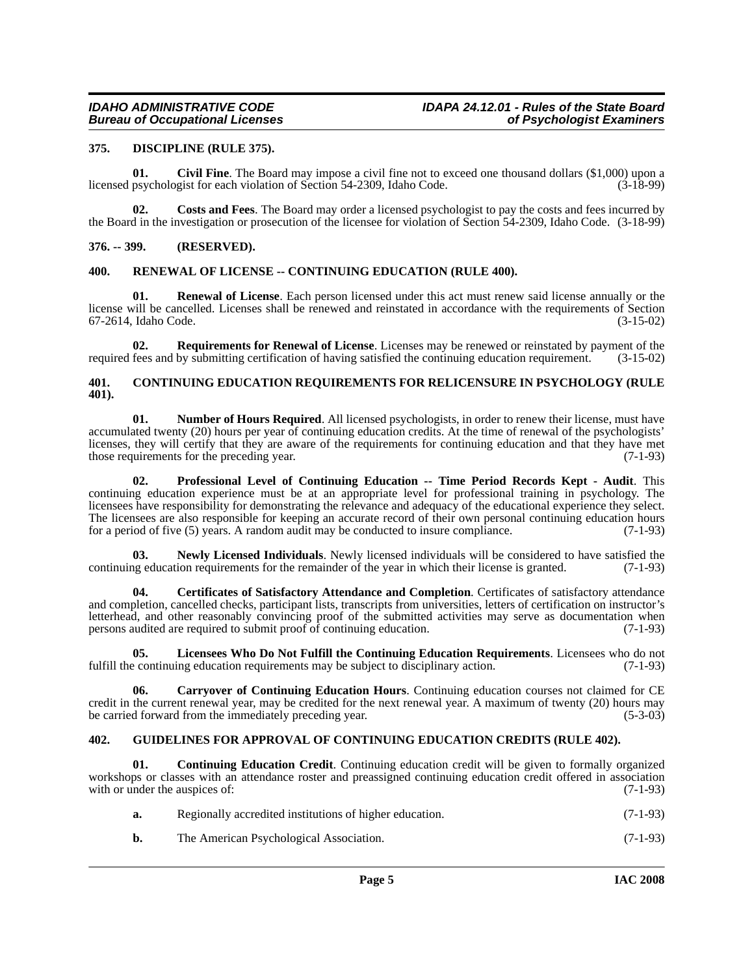#### <span id="page-4-11"></span><span id="page-4-0"></span>**375. DISCIPLINE (RULE 375).**

<span id="page-4-7"></span>**01.** Civil Fine. The Board may impose a civil fine not to exceed one thousand dollars (\$1,000) upon a psychologist for each violation of Section 54-2309. Idaho Code. (3-18-99) licensed psychologist for each violation of Section 54-2309, Idaho Code.

<span id="page-4-10"></span>**02. Costs and Fees**. The Board may order a licensed psychologist to pay the costs and fees incurred by the Board in the investigation or prosecution of the licensee for violation of Section 54-2309, Idaho Code. (3-18-99)

#### <span id="page-4-1"></span>**376. -- 399. (RESERVED).**

#### <span id="page-4-17"></span><span id="page-4-2"></span>**400. RENEWAL OF LICENSE -- CONTINUING EDUCATION (RULE 400).**

**01. Renewal of License**. Each person licensed under this act must renew said license annually or the license will be cancelled. Licenses shall be renewed and reinstated in accordance with the requirements of Section 67-2614, Idaho Code. (3-15-02)

<span id="page-4-18"></span>**02. Requirements for Renewal of License**. Licenses may be renewed or reinstated by payment of the required fees and by submitting certification of having satisfied the continuing education requirement. (3-15-02)

#### <span id="page-4-9"></span><span id="page-4-3"></span>**401. CONTINUING EDUCATION REQUIREMENTS FOR RELICENSURE IN PSYCHOLOGY (RULE 401).**

<span id="page-4-15"></span>**01.** Number of Hours Required. All licensed psychologists, in order to renew their license, must have accumulated twenty (20) hours per year of continuing education credits. At the time of renewal of the psychologists' licenses, they will certify that they are aware of the requirements for continuing education and that they have met those requirements for the preceding year. (7-1-93) those requirements for the preceding year.

<span id="page-4-16"></span>**02. Professional Level of Continuing Education -- Time Period Records Kept - Audit**. This continuing education experience must be at an appropriate level for professional training in psychology. The licensees have responsibility for demonstrating the relevance and adequacy of the educational experience they select. The licensees are also responsible for keeping an accurate record of their own personal continuing education hours for a period of five (5) years. A random audit may be conducted to insure compliance. (7-1-93)

<span id="page-4-14"></span>**03.** Newly Licensed Individuals. Newly licensed individuals will be considered to have satisfied the regularity of the remainder of the vear in which their license is granted. (7-1-93) continuing education requirements for the remainder of the year in which their license is granted.

<span id="page-4-6"></span>**04. Certificates of Satisfactory Attendance and Completion**. Certificates of satisfactory attendance and completion, cancelled checks, participant lists, transcripts from universities, letters of certification on instructor's letterhead, and other reasonably convincing proof of the submitted activities may serve as documentation when<br>persons audited are required to submit proof of continuing education. (7-1-93) persons audited are required to submit proof of continuing education.

<span id="page-4-13"></span>**05.** Licensees Who Do Not Fulfill the Continuing Education Requirements. Licensees who do not exercit continuing education requirements may be subject to disciplinary action. (7-1-93) fulfill the continuing education requirements may be subject to disciplinary action.

<span id="page-4-5"></span>**06. Carryover of Continuing Education Hours**. Continuing education courses not claimed for CE credit in the current renewal year, may be credited for the next renewal year. A maximum of twenty (20) hours may be carried forward from the immediately preceding year. (5-3-03)

#### <span id="page-4-12"></span><span id="page-4-4"></span>**402. GUIDELINES FOR APPROVAL OF CONTINUING EDUCATION CREDITS (RULE 402).**

**01. Continuing Education Credit**. Continuing education credit will be given to formally organized workshops or classes with an attendance roster and preassigned continuing education credit offered in association with or under the auspices of:  $(7-1-93)$ 

<span id="page-4-8"></span>

| a. | Regionally accredited institutions of higher education. | $(7-1-93)$ |
|----|---------------------------------------------------------|------------|
|    | The American Psychological Association.                 | $(7-1-93)$ |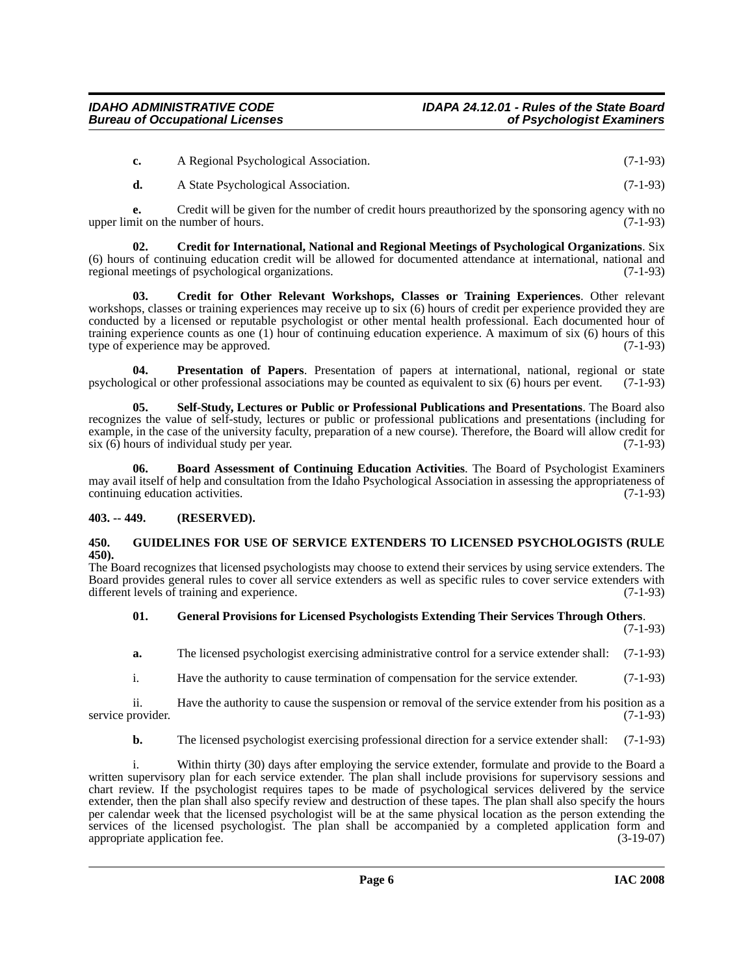| A Regional Psychological Association. | $(7-1-93)$ |
|---------------------------------------|------------|
|                                       |            |

<span id="page-5-3"></span>**d.** A State Psychological Association. (7-1-93)

**e.** Credit will be given for the number of credit hours preauthorized by the sponsoring agency with no nit on the number of hours. (7-1-93) upper limit on the number of hours.

**02. Credit for International, National and Regional Meetings of Psychological Organizations**. Six (6) hours of continuing education credit will be allowed for documented attendance at international, national and regional meetings of psychological organizations.  $(7-1-93)$ regional meetings of psychological organizations.

<span id="page-5-4"></span>**03. Credit for Other Relevant Workshops, Classes or Training Experiences**. Other relevant workshops, classes or training experiences may receive up to six (6) hours of credit per experience provided they are conducted by a licensed or reputable psychologist or other mental health professional. Each documented hour of training experience counts as one (1) hour of continuing education experience. A maximum of six (6) hours of this type of experience may be approved. (7-1-93) type of experience may be approved.

<span id="page-5-7"></span>**Presentation of Papers**. Presentation of papers at international, national, regional or state other professional associations may be counted as equivalent to six (6) hours per event. (7-1-93) psychological or other professional associations may be counted as equivalent to six  $(6)$  hours per event.

<span id="page-5-8"></span>**05. Self-Study, Lectures or Public or Professional Publications and Presentations**. The Board also recognizes the value of self-study, lectures or public or professional publications and presentations (including for example, in the case of the university faculty, preparation of a new course). Therefore, the Board will allow credit for six (6) hours of individual study per year. (7-1-93)

<span id="page-5-2"></span>**06. Board Assessment of Continuing Education Activities**. The Board of Psychologist Examiners may avail itself of help and consultation from the Idaho Psychological Association in assessing the appropriateness of continuing education activities. (7-1-93)

# <span id="page-5-0"></span>**403. -- 449. (RESERVED).**

#### <span id="page-5-6"></span><span id="page-5-1"></span>**450. GUIDELINES FOR USE OF SERVICE EXTENDERS TO LICENSED PSYCHOLOGISTS (RULE 450).**

The Board recognizes that licensed psychologists may choose to extend their services by using service extenders. The Board provides general rules to cover all service extenders as well as specific rules to cover service extenders with different levels of training and experience. (7-1-93) different levels of training and experience.

#### <span id="page-5-5"></span>**01. General Provisions for Licensed Psychologists Extending Their Services Through Others**. (7-1-93)

**a.** The licensed psychologist exercising administrative control for a service extender shall: (7-1-93)

i. Have the authority to cause termination of compensation for the service extender. (7-1-93)

ii. Have the authority to cause the suspension or removal of the service extender from his position as a service provider. (7-1-93)

**b.** The licensed psychologist exercising professional direction for a service extender shall: (7-1-93)

i. Within thirty (30) days after employing the service extender, formulate and provide to the Board a written supervisory plan for each service extender. The plan shall include provisions for supervisory sessions and chart review. If the psychologist requires tapes to be made of psychological services delivered by the service extender, then the plan shall also specify review and destruction of these tapes. The plan shall also specify the hours per calendar week that the licensed psychologist will be at the same physical location as the person extending the services of the licensed psychologist. The plan shall be accompanied by a completed application form and appropriate application fee. (3-19-07)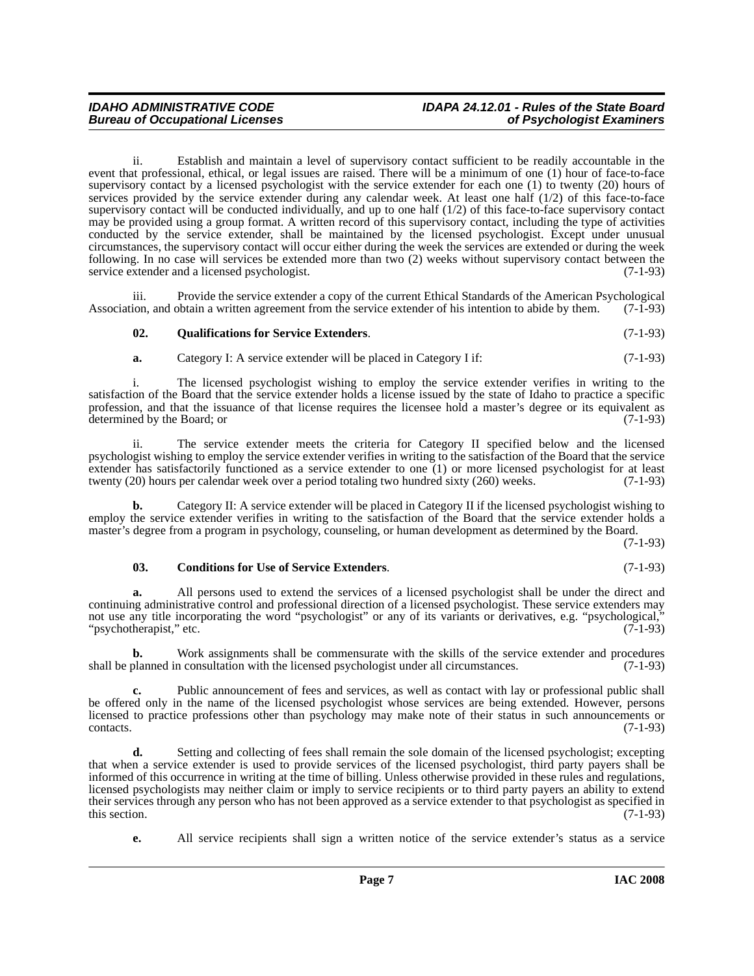# *IDAHO ADMINISTRATIVE CODE IDAPA 24.12.01 - Rules of the State Board*

ii. Establish and maintain a level of supervisory contact sufficient to be readily accountable in the event that professional, ethical, or legal issues are raised. There will be a minimum of one (1) hour of face-to-face supervisory contact by a licensed psychologist with the service extender for each one (1) to twenty (20) hours of services provided by the service extender during any calendar week. At least one half (1/2) of this face-to-face supervisory contact will be conducted individually, and up to one half (1/2) of this face-to-face supervisory contact may be provided using a group format. A written record of this supervisory contact, including the type of activities conducted by the service extender, shall be maintained by the licensed psychologist. Except under unusual circumstances, the supervisory contact will occur either during the week the services are extended or during the week following. In no case will services be extended more than two (2) weeks without supervisory contact between the service extender and a licensed psychologist. (7-1-93)

iii. Provide the service extender a copy of the current Ethical Standards of the American Psychological Association, and obtain a written agreement from the service extender of his intention to abide by them. (7-1-93)

#### <span id="page-6-1"></span>**02. Qualifications for Service Extenders**. (7-1-93)

**a.** Category I: A service extender will be placed in Category I if: (7-1-93)

i. The licensed psychologist wishing to employ the service extender verifies in writing to the satisfaction of the Board that the service extender holds a license issued by the state of Idaho to practice a specific profession, and that the issuance of that license requires the licensee hold a master's degree or its equivalent as determined by the Board; or (7-1-93) determined by the Board; or

ii. The service extender meets the criteria for Category II specified below and the licensed psychologist wishing to employ the service extender verifies in writing to the satisfaction of the Board that the service extender has satisfactorily functioned as a service extender to one (1) or more licensed psychologist for at least twenty (20) hours per calendar week over a period totaling two hundred sixty (260) weeks. (7-1-93) twenty  $(20)$  hours per calendar week over a period totaling two hundred sixty  $(260)$  weeks.

**b.** Category II: A service extender will be placed in Category II if the licensed psychologist wishing to employ the service extender verifies in writing to the satisfaction of the Board that the service extender holds a master's degree from a program in psychology, counseling, or human development as determined by the Board.

(7-1-93)

#### <span id="page-6-0"></span>**03. Conditions for Use of Service Extenders**. (7-1-93)

**a.** All persons used to extend the services of a licensed psychologist shall be under the direct and continuing administrative control and professional direction of a licensed psychologist. These service extenders may not use any title incorporating the word "psychologist" or any of its variants or derivatives, e.g. "psychological,"<br>"psychotherapist," etc. (7-1-93) "psychotherapist," etc.

**b.** Work assignments shall be commensurate with the skills of the service extender and procedures shall be planned in consultation with the licensed psychologist under all circumstances. (7-1-93)

**c.** Public announcement of fees and services, as well as contact with lay or professional public shall be offered only in the name of the licensed psychologist whose services are being extended. However, persons licensed to practice professions other than psychology may make note of their status in such announcements or  $\text{constants.}$  (7-1-93)

**d.** Setting and collecting of fees shall remain the sole domain of the licensed psychologist; excepting that when a service extender is used to provide services of the licensed psychologist, third party payers shall be informed of this occurrence in writing at the time of billing. Unless otherwise provided in these rules and regulations, licensed psychologists may neither claim or imply to service recipients or to third party payers an ability to extend their services through any person who has not been approved as a service extender to that psychologist as specified in this section. (7-1-93) this section.  $(7-1-93)$ 

**e.** All service recipients shall sign a written notice of the service extender's status as a service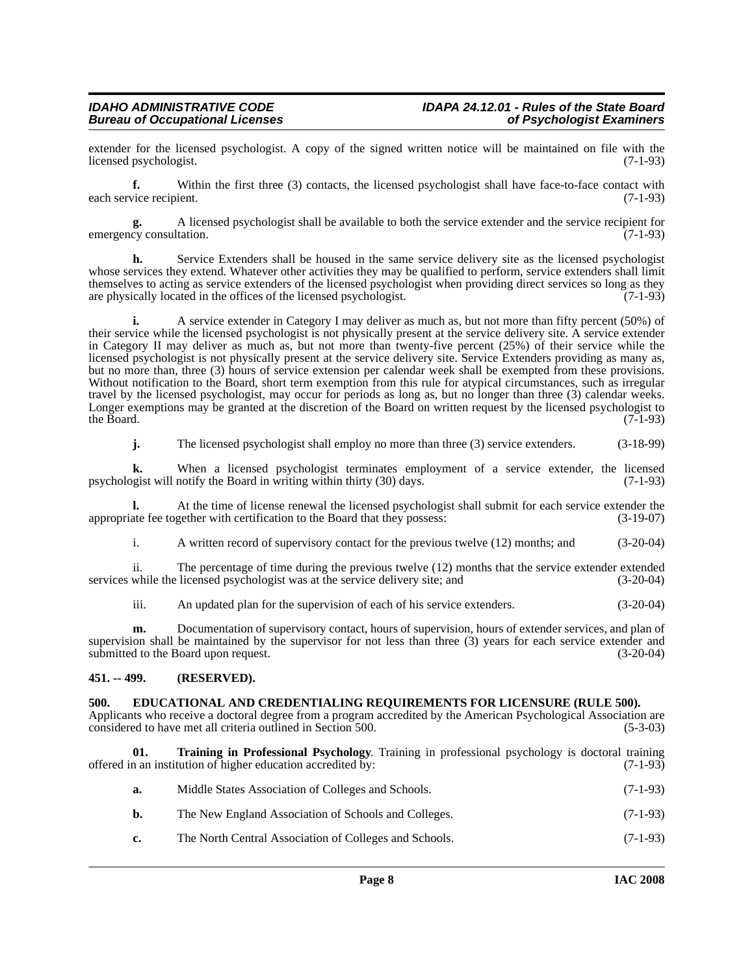extender for the licensed psychologist. A copy of the signed written notice will be maintained on file with the licensed psychologist. (7-1-93) licensed psychologist.

**f.** Within the first three (3) contacts, the licensed psychologist shall have face-to-face contact with each service recipient. (7-1-93)

**g.** A licensed psychologist shall be available to both the service extender and the service recipient for emergency consultation.

**h.** Service Extenders shall be housed in the same service delivery site as the licensed psychologist whose services they extend. Whatever other activities they may be qualified to perform, service extenders shall limit themselves to acting as service extenders of the licensed psychologist when providing direct services so long as they are physically located in the offices of the licensed psychologist. (7-1-93) are physically located in the offices of the licensed psychologist.

**i.** A service extender in Category I may deliver as much as, but not more than fifty percent (50%) of their service while the licensed psychologist is not physically present at the service delivery site. A service extender in Category II may deliver as much as, but not more than twenty-five percent (25%) of their service while the licensed psychologist is not physically present at the service delivery site. Service Extenders providing as many as, but no more than, three (3) hours of service extension per calendar week shall be exempted from these provisions. Without notification to the Board, short term exemption from this rule for atypical circumstances, such as irregular travel by the licensed psychologist, may occur for periods as long as, but no longer than three (3) calendar weeks. Longer exemptions may be granted at the discretion of the Board on written request by the licensed psychologist to the Board. (7-1-93) the Board.  $(7-1-93)$ 

**j.** The licensed psychologist shall employ no more than three (3) service extenders. (3-18-99)

**k.** When a licensed psychologist terminates employment of a service extender, the licensed opist will notify the Board in writing within thirty (30) days. (7-1-93) psychologist will notify the Board in writing within thirty (30) days.

**l.** At the time of license renewal the licensed psychologist shall submit for each service extender the appropriate fee together with certification to the Board that they possess: (3-19-07)

i. A written record of supervisory contact for the previous twelve (12) months; and (3-20-04)

ii. The percentage of time during the previous twelve (12) months that the service extender extended services while the licensed psychologist was at the service delivery site; and  $(3-20-04)$ 

iii. An updated plan for the supervision of each of his service extenders. (3-20-04)

**m.** Documentation of supervisory contact, hours of supervision, hours of extender services, and plan of supervision shall be maintained by the supervisor for not less than three (3) years for each service extender and submitted to the Board upon request. (3-20-04)

### <span id="page-7-0"></span>**451. -- 499. (RESERVED).**

#### <span id="page-7-2"></span><span id="page-7-1"></span>**500. EDUCATIONAL AND CREDENTIALING REQUIREMENTS FOR LICENSURE (RULE 500).**

Applicants who receive a doctoral degree from a program accredited by the American Psychological Association are considered to have met all criteria outlined in Section 500. (5-3-03)

**01. Training in Professional Psychology**. Training in professional psychology is doctoral training offered in an institution of higher education accredited by:  $(7-1-93)$ 

<span id="page-7-3"></span>

| а. | Middle States Association of Colleges and Schools.     | $(7-1-93)$ |
|----|--------------------------------------------------------|------------|
| b. | The New England Association of Schools and Colleges.   | $(7-1-93)$ |
| c. | The North Central Association of Colleges and Schools. | $(7-1-93)$ |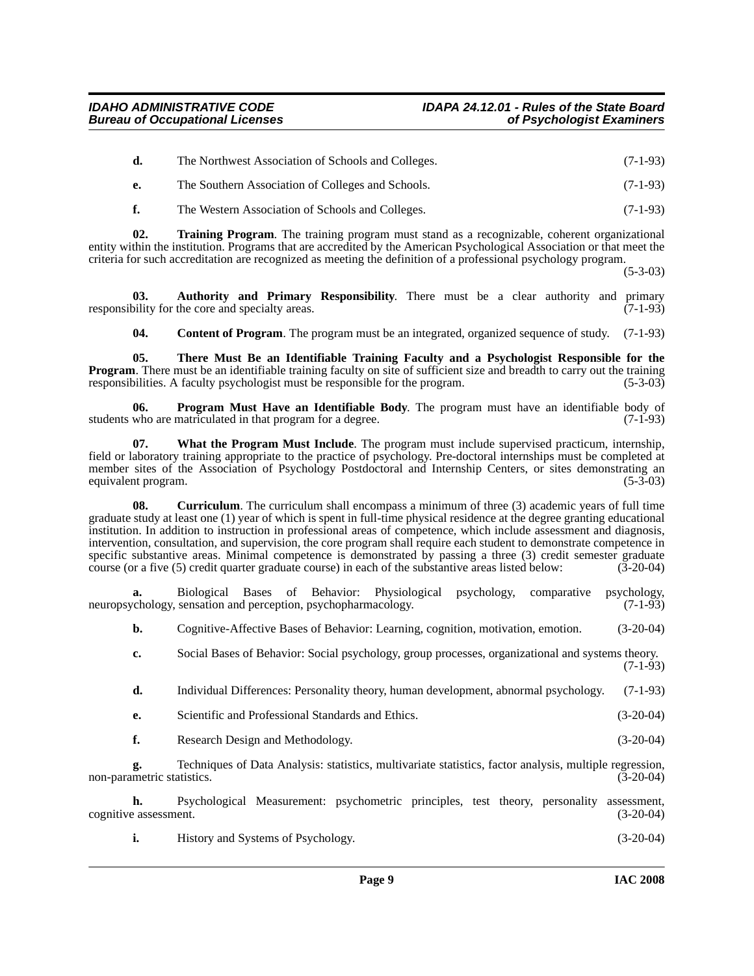| d. | The Northwest Association of Schools and Colleges. | $(7-1-93)$ |
|----|----------------------------------------------------|------------|
| e. | The Southern Association of Colleges and Schools.  | $(7-1-93)$ |

<span id="page-8-5"></span>**f.** The Western Association of Schools and Colleges. (7-1-93)

**02. Training Program**. The training program must stand as a recognizable, coherent organizational entity within the institution. Programs that are accredited by the American Psychological Association or that meet the criteria for such accreditation are recognized as meeting the definition of a professional psychology program.

(5-3-03)

**03. Authority and Primary Responsibility**. There must be a clear authority and primary responsibility for the core and specialty areas.  $(7-1-93)$ 

<span id="page-8-4"></span><span id="page-8-3"></span><span id="page-8-1"></span><span id="page-8-0"></span>**04. Content of Program**. The program must be an integrated, organized sequence of study. (7-1-93)

**05. There Must Be an Identifiable Training Faculty and a Psychologist Responsible for the Program.** There must be an identifiable training faculty on site of sufficient size and breadth to carry out the training responsibilities. A faculty psychologist must be responsible for the program. (5-3-03)

**06. Program Must Have an Identifiable Body**. The program must have an identifiable body of who are matriculated in that program for a degree. (7-1-93) students who are matriculated in that program for a degree.

<span id="page-8-6"></span>**07. What the Program Must Include**. The program must include supervised practicum, internship, field or laboratory training appropriate to the practice of psychology. Pre-doctoral internships must be completed at member sites of the Association of Psychology Postdoctoral and Internship Centers, or sites demonstrating an equivalent program. (5-3-03) equivalent program.

<span id="page-8-2"></span>**08.** Curriculum. The curriculum shall encompass a minimum of three (3) academic years of full time graduate study at least one (1) year of which is spent in full-time physical residence at the degree granting educational institution. In addition to instruction in professional areas of competence, which include assessment and diagnosis, intervention, consultation, and supervision, the core program shall require each student to demonstrate competence in specific substantive areas. Minimal competence is demonstrated by passing a three (3) credit semester graduate course (or a five (5) credit quarter graduate course) in each of the substantive areas listed below: (3-20-04) course (or a five (5) credit quarter graduate course) in each of the substantive areas listed below:

**a.** Biological Bases of Behavior: Physiological psychology, comparative psychology, neuropsychology, sensation and perception, psychopharmacology. (7-1-93)

**b.** Cognitive-Affective Bases of Behavior: Learning, cognition, motivation, emotion. (3-20-04)

**c.** Social Bases of Behavior: Social psychology, group processes, organizational and systems theory. (7-1-93)

**d.** Individual Differences: Personality theory, human development, abnormal psychology. (7-1-93)

- **e.** Scientific and Professional Standards and Ethics. (3-20-04)
- **f.** Research Design and Methodology. (3-20-04)

**g.** Techniques of Data Analysis: statistics, multivariate statistics, factor analysis, multiple regression, non-parametric statistics. (3-20-04)

**h.** Psychological Measurement: psychometric principles, test theory, personality assessment, eassessment. (3-20-04) cognitive assessment.

**i.** History and Systems of Psychology. (3-20-04)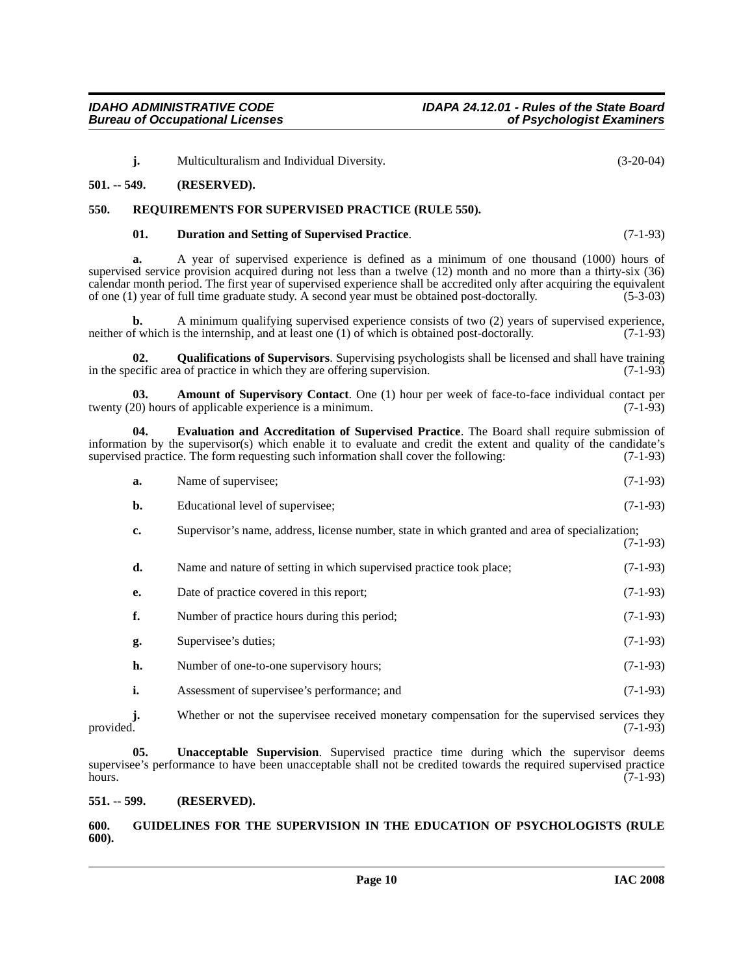**j.** Multiculturalism and Individual Diversity. (3-20-04)

#### <span id="page-9-0"></span>**501. -- 549. (RESERVED).**

# <span id="page-9-1"></span>**550. REQUIREMENTS FOR SUPERVISED PRACTICE (RULE 550).**

#### <span id="page-9-9"></span><span id="page-9-5"></span>**01. Duration and Setting of Supervised Practice**. (7-1-93)

**a.** A year of supervised experience is defined as a minimum of one thousand (1000) hours of supervised service provision acquired during not less than a twelve (12) month and no more than a thirty-six (36) calendar month period. The first year of supervised experience shall be accredited only after acquiring the equivalent of one (1) year of full time graduate study. A second year must be obtained post-doctorally. (5-3-03) of one (1) year of full time graduate study. A second year must be obtained post-doctorally.

A minimum qualifying supervised experience consists of two (2) years of supervised experience, s the internship, and at least one (1) of which is obtained post-doctorally. (7-1-93) neither of which is the internship, and at least one  $(1)$  of which is obtained post-doctorally.

<span id="page-9-8"></span>**02. Qualifications of Supervisors**. Supervising psychologists shall be licensed and shall have training in the specific area of practice in which they are offering supervision. (7-1-93)

<span id="page-9-4"></span>**03. Amount of Supervisory Contact**. One (1) hour per week of face-to-face individual contact per 20) hours of applicable experience is a minimum. twenty  $(20)$  hours of applicable experience is a minimum.

**04. Evaluation and Accreditation of Supervised Practice**. The Board shall require submission of information by the supervisor(s) which enable it to evaluate and credit the extent and quality of the candidate's supervised practice. The form requesting such information shall cover the following: (7-1-93) supervised practice. The form requesting such information shall cover the following:

<span id="page-9-6"></span>

| a. | Name of supervisee; | $(7-1-93)$ |
|----|---------------------|------------|
|    |                     |            |

- **b.** Educational level of supervisee; (7-1-93)
- **c.** Supervisor's name, address, license number, state in which granted and area of specialization; (7-1-93)

| d. | Name and nature of setting in which supervised practice took place; | $(7-1-93)$ |
|----|---------------------------------------------------------------------|------------|
| e. | Date of practice covered in this report:                            | $(7-1-93)$ |
| f. | Number of practice hours during this period;                        | $(7-1-93)$ |
| g. | Supervisee's duties;                                                | $(7-1-93)$ |
| h. | Number of one-to-one supervisory hours;                             | $(7-1-93)$ |
| i. | Assessment of supervisee's performance; and                         | $(7-1-93)$ |

**j.** Whether or not the supervisee received monetary compensation for the supervised services they provided.  $(7-1-93)$ 

<span id="page-9-10"></span>**05. Unacceptable Supervision**. Supervised practice time during which the supervisor deems supervisee's performance to have been unacceptable shall not be credited towards the required supervised practice hours.  $(7-1-93)$ 

### <span id="page-9-2"></span>**551. -- 599. (RESERVED).**

### <span id="page-9-7"></span><span id="page-9-3"></span>**600. GUIDELINES FOR THE SUPERVISION IN THE EDUCATION OF PSYCHOLOGISTS (RULE 600).**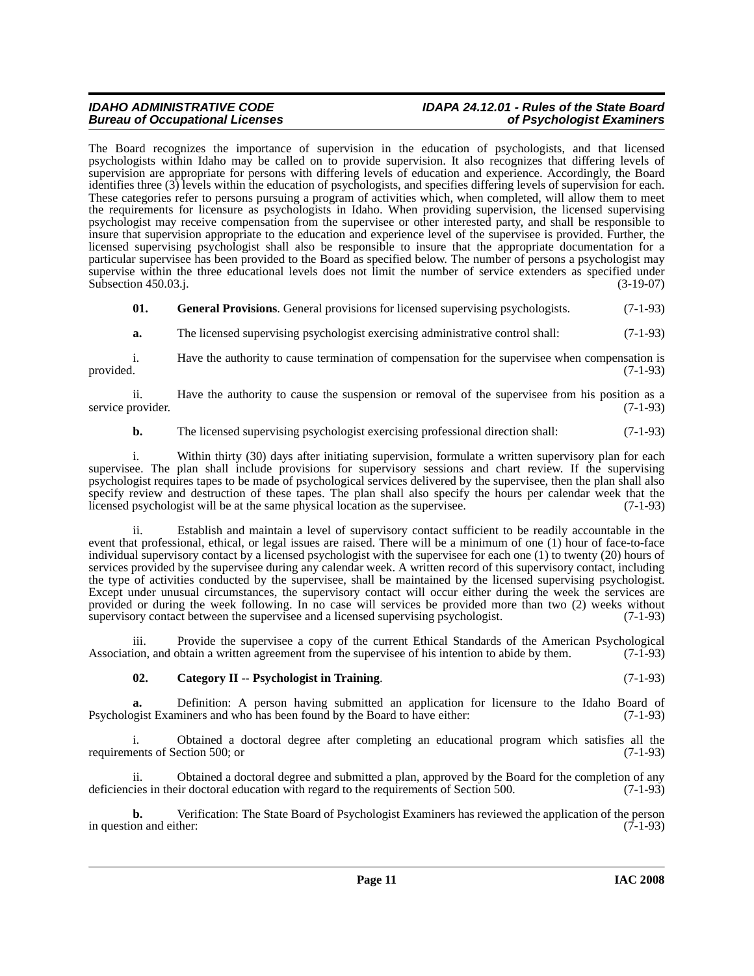# *IDAHO ADMINISTRATIVE CODE IDAPA 24.12.01 - Rules of the State Board*

The Board recognizes the importance of supervision in the education of psychologists, and that licensed psychologists within Idaho may be called on to provide supervision. It also recognizes that differing levels of supervision are appropriate for persons with differing levels of education and experience. Accordingly, the Board identifies three (3) levels within the education of psychologists, and specifies differing levels of supervision for each. These categories refer to persons pursuing a program of activities which, when completed, will allow them to meet the requirements for licensure as psychologists in Idaho. When providing supervision, the licensed supervising psychologist may receive compensation from the supervisee or other interested party, and shall be responsible to insure that supervision appropriate to the education and experience level of the supervisee is provided. Further, the licensed supervising psychologist shall also be responsible to insure that the appropriate documentation for a particular supervisee has been provided to the Board as specified below. The number of persons a psychologist may supervise within the three educational levels does not limit the number of service extenders as specified under Subsection 450.03.j. (3-19-07)

**01.** General Provisions. General provisions for licensed supervising psychologists. (7-1-93)

**a.** The licensed supervising psychologist exercising administrative control shall:  $(7-1-93)$ 

i. Have the authority to cause termination of compensation for the supervisee when compensation is provided. (7-1-93) provided.  $(7-1-93)$ 

ii. Have the authority to cause the suspension or removal of the supervisee from his position as a provider. (7-1-93) service provider.

**b.** The licensed supervising psychologist exercising professional direction shall: (7-1-93)

i. Within thirty (30) days after initiating supervision, formulate a written supervisory plan for each supervisee. The plan shall include provisions for supervisory sessions and chart review. If the supervising psychologist requires tapes to be made of psychological services delivered by the supervisee, then the plan shall also specify review and destruction of these tapes. The plan shall also specify the hours per calendar week that the licensed psychologist will be at the same physical location as the supervisee. (7-1-93)

ii. Establish and maintain a level of supervisory contact sufficient to be readily accountable in the event that professional, ethical, or legal issues are raised. There will be a minimum of one (1) hour of face-to-face individual supervisory contact by a licensed psychologist with the supervisee for each one (1) to twenty (20) hours of services provided by the supervisee during any calendar week. A written record of this supervisory contact, including the type of activities conducted by the supervisee, shall be maintained by the licensed supervising psychologist. Except under unusual circumstances, the supervisory contact will occur either during the week the services are provided or during the week following. In no case will services be provided more than two (2) weeks without supervisory contact between the supervisee and a licensed supervising psychologist. (7-1-93)

iii. Provide the supervisee a copy of the current Ethical Standards of the American Psychological Association, and obtain a written agreement from the supervisee of his intention to abide by them. (7-1-93)

### <span id="page-10-0"></span>**02. Category II -- Psychologist in Training**. (7-1-93)

**a.** Definition: A person having submitted an application for licensure to the Idaho Board of Psychologist Examiners and who has been found by the Board to have either: (7-1-93)

i. Obtained a doctoral degree after completing an educational program which satisfies all the requirements of Section 500; or

ii. Obtained a doctoral degree and submitted a plan, approved by the Board for the completion of any deficiencies in their doctoral education with regard to the requirements of Section 500. (7-1-93)

**b.** Verification: The State Board of Psychologist Examiners has reviewed the application of the person on and either: (7-1-93) in question and either: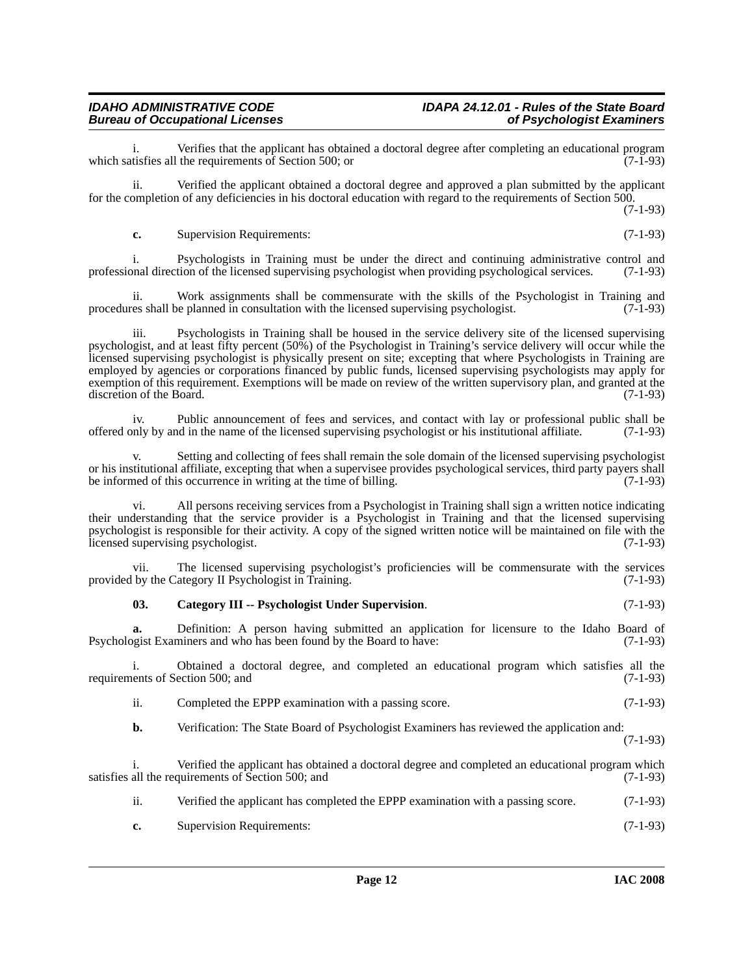Verifies that the applicant has obtained a doctoral degree after completing an educational program<br>the requirements of Section 500; or which satisfies all the requirements of Section 500; or

ii. Verified the applicant obtained a doctoral degree and approved a plan submitted by the applicant for the completion of any deficiencies in his doctoral education with regard to the requirements of Section 500.

(7-1-93)

**c.** Supervision Requirements: (7-1-93)

i. Psychologists in Training must be under the direct and continuing administrative control and onal direction of the licensed supervising psychologist when providing psychological services. (7-1-93) professional direction of the licensed supervising psychologist when providing psychological services.

ii. Work assignments shall be commensurate with the skills of the Psychologist in Training and procedures shall be planned in consultation with the licensed supervising psychologist. (7-1-93)

iii. Psychologists in Training shall be housed in the service delivery site of the licensed supervising psychologist, and at least fifty percent (50%) of the Psychologist in Training's service delivery will occur while the licensed supervising psychologist is physically present on site; excepting that where Psychologists in Training are employed by agencies or corporations financed by public funds, licensed supervising psychologists may apply for exemption of this requirement. Exemptions will be made on review of the written supervisory plan, and granted at the discretion of the Board. (7-1-93)

iv. Public announcement of fees and services, and contact with lay or professional public shall be offered only by and in the name of the licensed supervising psychologist or his institutional affiliate. (7-1-93)

v. Setting and collecting of fees shall remain the sole domain of the licensed supervising psychologist or his institutional affiliate, excepting that when a supervisee provides psychological services, third party payers shall<br>be informed of this occurrence in writing at the time of billing. be informed of this occurrence in writing at the time of billing.

vi. All persons receiving services from a Psychologist in Training shall sign a written notice indicating their understanding that the service provider is a Psychologist in Training and that the licensed supervising psychologist is responsible for their activity. A copy of the signed written notice will be maintained on file with the licensed supervising psychologist. (7-1-93)

vii. The licensed supervising psychologist's proficiencies will be commensurate with the services provided by the Category II Psychologist in Training. (7-1-93)

### <span id="page-11-0"></span>**03. Category III -- Psychologist Under Supervision**. (7-1-93)

**a.** Definition: A person having submitted an application for licensure to the Idaho Board of Psychologist Examiners and who has been found by the Board to have: (7-1-93)

i. Obtained a doctoral degree, and completed an educational program which satisfies all the requirements of Section 500; and  $(7-1-93)$ 

ii. Completed the EPPP examination with a passing score. (7-1-93)

**b.** Verification: The State Board of Psychologist Examiners has reviewed the application and: (7-1-93)

i. Verified the applicant has obtained a doctoral degree and completed an educational program which satisfies all the requirements of Section 500; and (7-1-93)

- ii. Verified the applicant has completed the EPPP examination with a passing score. (7-1-93)
- **c.** Supervision Requirements: (7-1-93)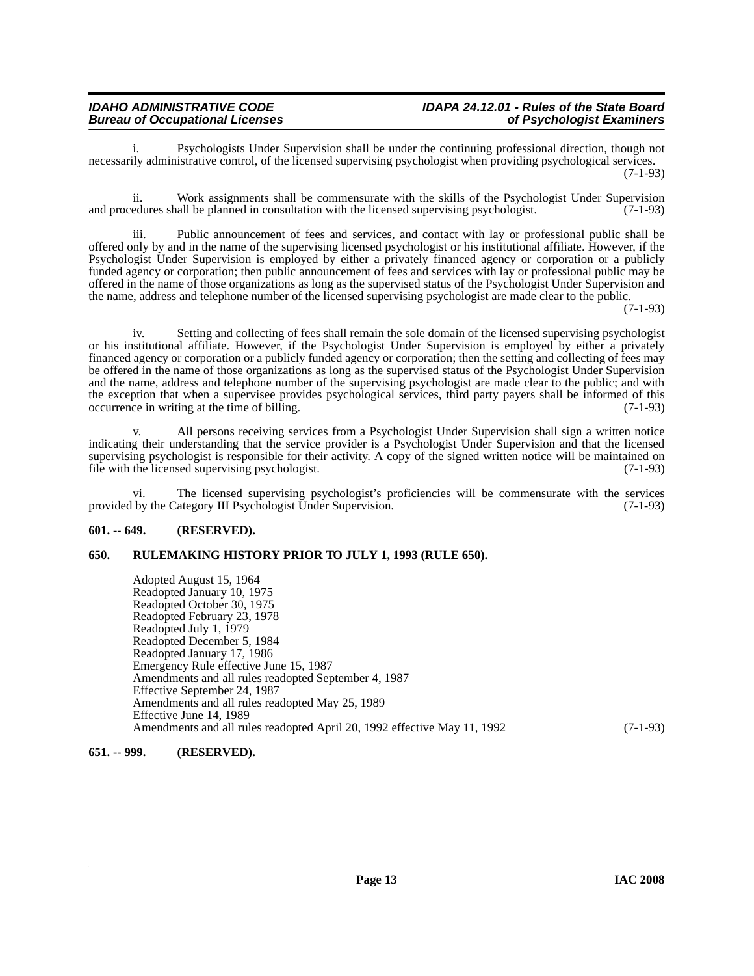Psychologists Under Supervision shall be under the continuing professional direction, though not necessarily administrative control, of the licensed supervising psychologist when providing psychological services. (7-1-93)

ii. Work assignments shall be commensurate with the skills of the Psychologist Under Supervision and procedures shall be planned in consultation with the licensed supervising psychologist. (7-1-93)

iii. Public announcement of fees and services, and contact with lay or professional public shall be offered only by and in the name of the supervising licensed psychologist or his institutional affiliate. However, if the Psychologist Under Supervision is employed by either a privately financed agency or corporation or a publicly funded agency or corporation; then public announcement of fees and services with lay or professional public may be offered in the name of those organizations as long as the supervised status of the Psychologist Under Supervision and the name, address and telephone number of the licensed supervising psychologist are made clear to the public.

 $(7-1-93)$ 

iv. Setting and collecting of fees shall remain the sole domain of the licensed supervising psychologist or his institutional affiliate. However, if the Psychologist Under Supervision is employed by either a privately financed agency or corporation or a publicly funded agency or corporation; then the setting and collecting of fees may be offered in the name of those organizations as long as the supervised status of the Psychologist Under Supervision and the name, address and telephone number of the supervising psychologist are made clear to the public; and with the exception that when a supervisee provides psychological services, third party payers shall be informed of this occurrence in writing at the time of billing. (7-1-93) occurrence in writing at the time of billing.

All persons receiving services from a Psychologist Under Supervision shall sign a written notice indicating their understanding that the service provider is a Psychologist Under Supervision and that the licensed supervising psychologist is responsible for their activity. A copy of the signed written notice will be maintained on file with the licensed supervising psychologist. (7-1-93)

vi. The licensed supervising psychologist's proficiencies will be commensurate with the services provided by the Category III Psychologist Under Supervision. (7-1-93)

### <span id="page-12-0"></span>**601. -- 649. (RESERVED).**

### <span id="page-12-1"></span>**650. RULEMAKING HISTORY PRIOR TO JULY 1, 1993 (RULE 650).**

Adopted August 15, 1964 Readopted January 10, 1975 Readopted October 30, 1975 Readopted February 23, 1978 Readopted July 1, 1979 Readopted December 5, 1984 Readopted January 17, 1986 Emergency Rule effective June 15, 1987 Amendments and all rules readopted September 4, 1987 Effective September 24, 1987 Amendments and all rules readopted May 25, 1989 Effective June 14, 1989 Amendments and all rules readopted April 20, 1992 effective May 11, 1992 (7-1-93)

# <span id="page-12-2"></span>**651. -- 999. (RESERVED).**